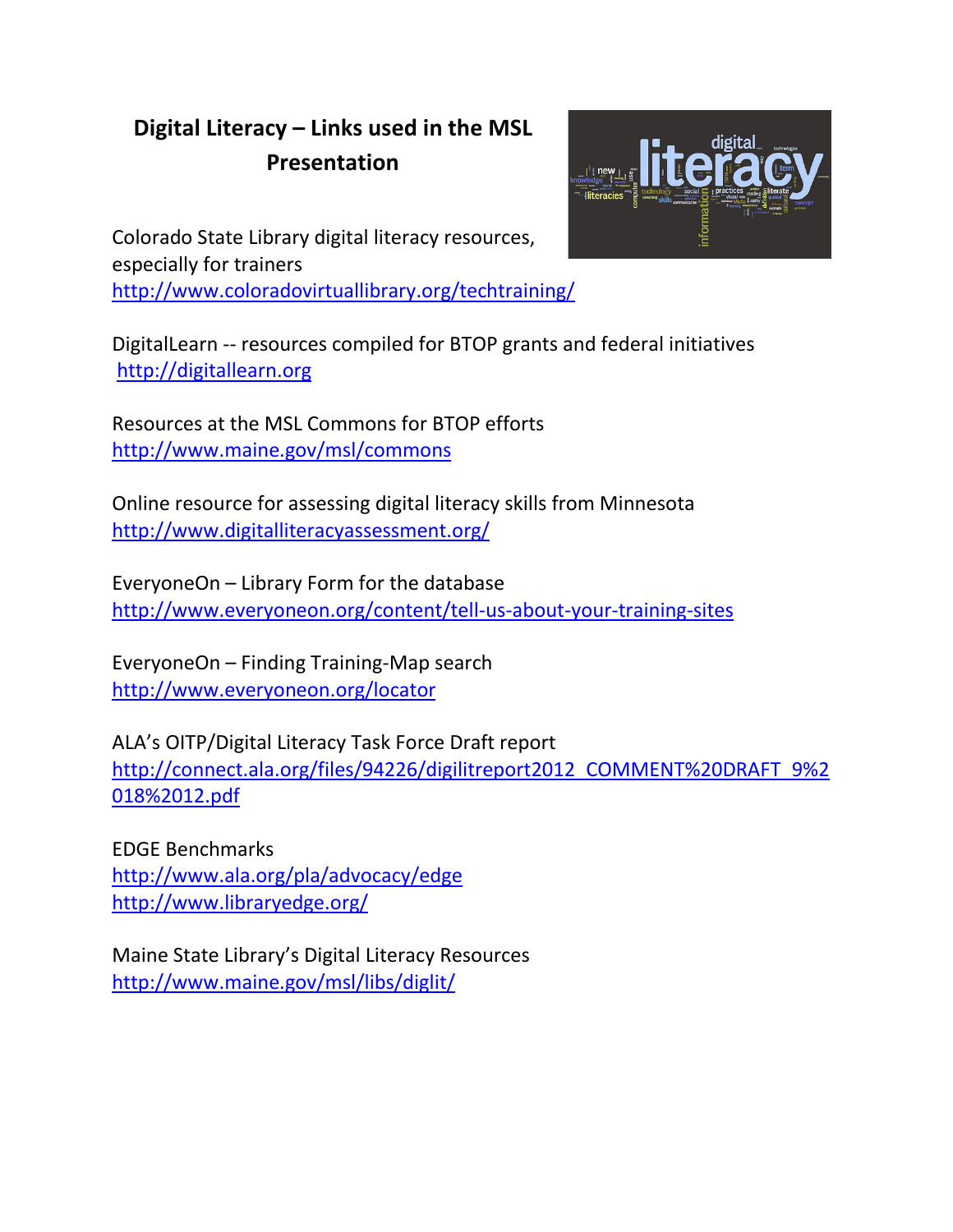## **Digital Literacy – Links used in the MSL Presentation**



Colorado State Library digital literacy resources, especially for trainers <http://www.coloradovirtuallibrary.org/techtraining/>

DigitalLearn -- resources compiled for BTOP grants and federal initiatives [http://digitallearn.org](http://digitallearn.org/)

Resources at the MSL Commons for BTOP efforts <http://www.maine.gov/msl/commons>

Online resource for assessing digital literacy skills from Minnesota <http://www.digitalliteracyassessment.org/>

EveryoneOn – Library Form for the database <http://www.everyoneon.org/content/tell-us-about-your-training-sites>

EveryoneOn – Finding Training-Map search <http://www.everyoneon.org/locator>

ALA's OITP/Digital Literacy Task Force Draft report [http://connect.ala.org/files/94226/digilitreport2012\\_COMMENT%20DRAFT\\_9%2](http://connect.ala.org/files/94226/digilitreport2012_COMMENT%20DRAFT_9%2018%2012.pdf) [018%2012.pdf](http://connect.ala.org/files/94226/digilitreport2012_COMMENT%20DRAFT_9%2018%2012.pdf)

EDGE Benchmarks <http://www.ala.org/pla/advocacy/edge> <http://www.libraryedge.org/>

Maine State Library's Digital Literacy Resources <http://www.maine.gov/msl/libs/diglit/>